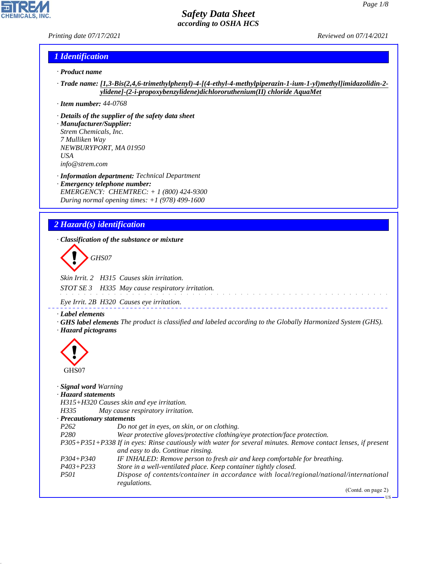*Printing date 07/17/2021 Reviewed on 07/14/2021*

### *1 Identification*

- *· Product name*
- *· Trade name: [1,3-Bis(2,4,6-trimethylphenyl)-4-[(4-ethyl-4-methylpiperazin-1-ium-1-yl)methyl]imidazolidin-2 ylidene]-(2-i-propoxybenzylidene)dichlororuthenium(II) chloride AquaMet*
- *· Item number: 44-0768*
- *· Details of the supplier of the safety data sheet*
- *· Manufacturer/Supplier: Strem Chemicals, Inc. 7 Mulliken Way NEWBURYPORT, MA 01950 USA info@strem.com*
- *· Information department: Technical Department · Emergency telephone number: EMERGENCY: CHEMTREC: + 1 (800) 424-9300 During normal opening times: +1 (978) 499-1600*

# *2 Hazard(s) identification*

*· Classification of the substance or mixture*

d~*GHS07*

*Skin Irrit. 2 H315 Causes skin irritation. STOT SE 3 H335 May cause respiratory irritation.*

*Eye Irrit. 2B H320 Causes eye irritation.*

*· Label elements*

*· GHS label elements The product is classified and labeled according to the Globally Harmonized System (GHS). · Hazard pictograms*

 $\pm$   $\pm$   $\pm$   $\pm$ 



44.1.1

### *· Signal word Warning*

*· Hazard statements*

*H315+H320 Causes skin and eye irritation.*

*H335 May cause respiratory irritation.*

```
· Precautionary statements
```
- *P262 Do not get in eyes, on skin, or on clothing. P280 Wear protective gloves/protective clothing/eye protection/face protection.*
- *P305+P351+P338 If in eyes: Rinse cautiously with water for several minutes. Remove contact lenses, if present and easy to do. Continue rinsing.*
- *P304+P340 IF INHALED: Remove person to fresh air and keep comfortable for breathing.*
- *P403+P233 Store in a well-ventilated place. Keep container tightly closed.*
- *P501 Dispose of contents/container in accordance with local/regional/national/international regulations.*

(Contd. on page 2)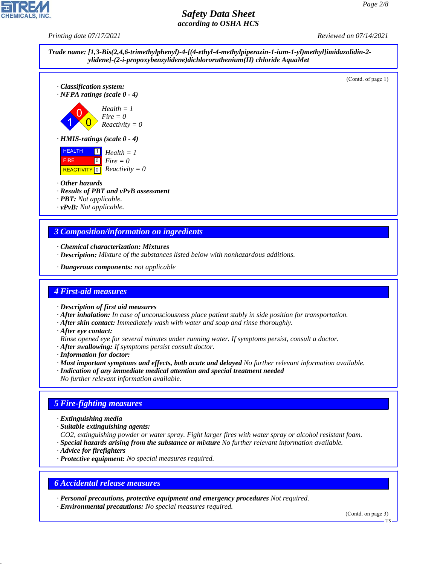*Printing date 07/17/2021 Reviewed on 07/14/2021*



(Contd. of page 1)





### *· Other hazards*

- *· Results of PBT and vPvB assessment*
- *· PBT: Not applicable.*
- *· vPvB: Not applicable.*

# *3 Composition/information on ingredients*

- *· Chemical characterization: Mixtures*
- *· Description: Mixture of the substances listed below with nonhazardous additions.*
- *· Dangerous components: not applicable*

## *4 First-aid measures*

- *· Description of first aid measures*
- *· After inhalation: In case of unconsciousness place patient stably in side position for transportation.*
- *· After skin contact: Immediately wash with water and soap and rinse thoroughly.*
- *· After eye contact:*
- *Rinse opened eye for several minutes under running water. If symptoms persist, consult a doctor.*
- *· After swallowing: If symptoms persist consult doctor.*
- *· Information for doctor:*
- *· Most important symptoms and effects, both acute and delayed No further relevant information available.*
- *· Indication of any immediate medical attention and special treatment needed*
- *No further relevant information available.*

## *5 Fire-fighting measures*

- *· Extinguishing media*
- *· Suitable extinguishing agents:*
- *CO2, extinguishing powder or water spray. Fight larger fires with water spray or alcohol resistant foam.*
- *· Special hazards arising from the substance or mixture No further relevant information available.*
- *· Advice for firefighters*

44.1.1

*· Protective equipment: No special measures required.*

## *6 Accidental release measures*

*· Personal precautions, protective equipment and emergency procedures Not required.*

*· Environmental precautions: No special measures required.*

(Contd. on page 3)

US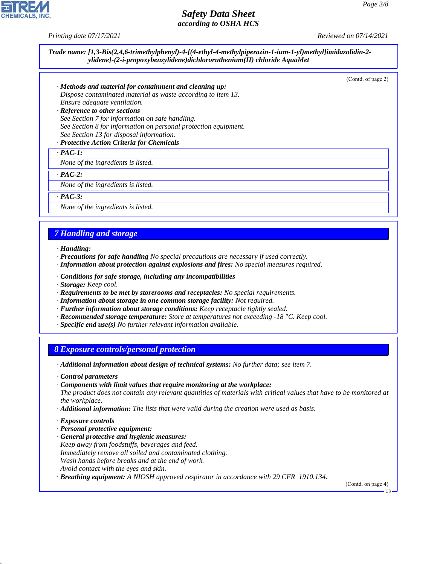*Printing date 07/17/2021 Reviewed on 07/14/2021*

*Trade name: [1,3-Bis(2,4,6-trimethylphenyl)-4-[(4-ethyl-4-methylpiperazin-1-ium-1-yl)methyl]imidazolidin-2 ylidene]-(2-i-propoxybenzylidene)dichlororuthenium(II) chloride AquaMet*

(Contd. of page 2)

- *· Methods and material for containment and cleaning up: Dispose contaminated material as waste according to item 13. Ensure adequate ventilation.*
- *· Reference to other sections See Section 7 for information on safe handling. See Section 8 for information on personal protection equipment. See Section 13 for disposal information.*

### *· Protective Action Criteria for Chemicals*

*· PAC-1:*

*None of the ingredients is listed.*

*· PAC-2:*

*None of the ingredients is listed.*

*· PAC-3:*

*None of the ingredients is listed.*

### *7 Handling and storage*

- *· Handling:*
- *· Precautions for safe handling No special precautions are necessary if used correctly.*
- *· Information about protection against explosions and fires: No special measures required.*
- *· Conditions for safe storage, including any incompatibilities*
- *· Storage: Keep cool.*
- *· Requirements to be met by storerooms and receptacles: No special requirements.*
- *· Information about storage in one common storage facility: Not required.*
- *· Further information about storage conditions: Keep receptacle tightly sealed.*
- *· Recommended storage temperature: Store at temperatures not exceeding -18 °C. Keep cool.*
- *· Specific end use(s) No further relevant information available.*

### *8 Exposure controls/personal protection*

- *· Additional information about design of technical systems: No further data; see item 7.*
- *· Control parameters*
- *· Components with limit values that require monitoring at the workplace:*
- *The product does not contain any relevant quantities of materials with critical values that have to be monitored at the workplace.*
- *· Additional information: The lists that were valid during the creation were used as basis.*
- *· Exposure controls*

44.1.1

- *· Personal protective equipment:*
- *· General protective and hygienic measures: Keep away from foodstuffs, beverages and feed. Immediately remove all soiled and contaminated clothing. Wash hands before breaks and at the end of work. Avoid contact with the eyes and skin.*
- *· Breathing equipment: A NIOSH approved respirator in accordance with 29 CFR 1910.134.*

(Contd. on page 4)

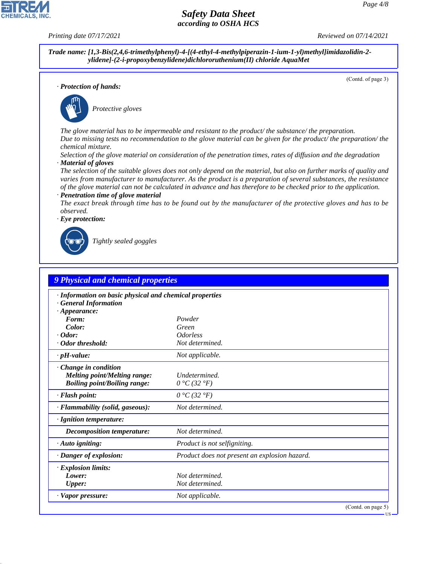*Printing date 07/17/2021 Reviewed on 07/14/2021*

**CHEMICALS** 

*Trade name: [1,3-Bis(2,4,6-trimethylphenyl)-4-[(4-ethyl-4-methylpiperazin-1-ium-1-yl)methyl]imidazolidin-2 ylidene]-(2-i-propoxybenzylidene)dichlororuthenium(II) chloride AquaMet*

(Contd. of page 3)

*· Protection of hands:*



\_S*Protective gloves*

*The glove material has to be impermeable and resistant to the product/ the substance/ the preparation. Due to missing tests no recommendation to the glove material can be given for the product/ the preparation/ the chemical mixture.*

*Selection of the glove material on consideration of the penetration times, rates of diffusion and the degradation · Material of gloves*

*The selection of the suitable gloves does not only depend on the material, but also on further marks of quality and varies from manufacturer to manufacturer. As the product is a preparation of several substances, the resistance of the glove material can not be calculated in advance and has therefore to be checked prior to the application.*

#### *· Penetration time of glove material*

*The exact break through time has to be found out by the manufacturer of the protective gloves and has to be observed.*

*· Eye protection:*



44.1.1

\_R*Tightly sealed goggles*

| · Information on basic physical and chemical properties<br><b>General Information</b> |                                               |  |
|---------------------------------------------------------------------------------------|-----------------------------------------------|--|
| $\cdot$ Appearance:                                                                   |                                               |  |
| Form:                                                                                 | Powder                                        |  |
| Color:                                                                                | Green                                         |  |
| $\cdot$ Odor:                                                                         | <i><u><b>Odorless</b></u></i>                 |  |
| · Odor threshold:                                                                     | Not determined.                               |  |
| $\cdot$ pH-value:                                                                     | Not applicable.                               |  |
| Change in condition                                                                   |                                               |  |
| <b>Melting point/Melting range:</b>                                                   | Undetermined.                                 |  |
| <b>Boiling point/Boiling range:</b>                                                   | $0 °C$ (32 $°F$ )                             |  |
| $\cdot$ Flash point:                                                                  | $0 °C$ (32 $°F$ )                             |  |
| · Flammability (solid, gaseous):                                                      | Not determined.                               |  |
| $\cdot$ Ignition temperature:                                                         |                                               |  |
| <b>Decomposition temperature:</b>                                                     | Not determined.                               |  |
| $\cdot$ Auto igniting:                                                                | <i>Product is not selfigniting.</i>           |  |
| · Danger of explosion:                                                                | Product does not present an explosion hazard. |  |
| · Explosion limits:                                                                   |                                               |  |
| Lower:                                                                                | Not determined.                               |  |
| <b>Upper:</b>                                                                         | Not determined.                               |  |
| · Vapor pressure:                                                                     | Not applicable.                               |  |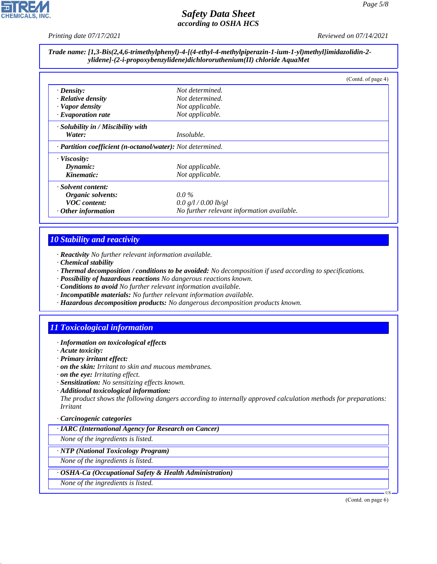

*Printing date 07/17/2021 Reviewed on 07/14/2021*

### *Trade name: [1,3-Bis(2,4,6-trimethylphenyl)-4-[(4-ethyl-4-methylpiperazin-1-ium-1-yl)methyl]imidazolidin-2 ylidene]-(2-i-propoxybenzylidene)dichlororuthenium(II) chloride AquaMet*

|                                                            |                                            | (Contd. of page 4) |
|------------------------------------------------------------|--------------------------------------------|--------------------|
| $\cdot$ Density:                                           | Not determined.                            |                    |
| $\cdot$ Relative density                                   | Not determined.                            |                    |
| · Vapor density                                            | Not applicable.                            |                    |
| $\cdot$ Evaporation rate                                   | Not applicable.                            |                    |
| · Solubility in / Miscibility with                         |                                            |                    |
| Water:                                                     | Insoluble.                                 |                    |
| · Partition coefficient (n-octanol/water): Not determined. |                                            |                    |
| $\cdot$ Viscosity:                                         |                                            |                    |
| Dynamic:                                                   | Not applicable.                            |                    |
| Kinematic:                                                 | Not applicable.                            |                    |
| · Solvent content:                                         |                                            |                    |
| Organic solvents:                                          | $0.0\%$                                    |                    |
| <b>VOC</b> content:                                        | 0.0 g/l / 0.00 lb/gl                       |                    |
| $\cdot$ Other information                                  | No further relevant information available. |                    |

# *10 Stability and reactivity*

- *· Reactivity No further relevant information available.*
- *· Chemical stability*
- *· Thermal decomposition / conditions to be avoided: No decomposition if used according to specifications.*
- *· Possibility of hazardous reactions No dangerous reactions known.*
- *· Conditions to avoid No further relevant information available.*
- *· Incompatible materials: No further relevant information available.*
- *· Hazardous decomposition products: No dangerous decomposition products known.*

# *11 Toxicological information*

- *· Information on toxicological effects*
- *· Acute toxicity:*

44.1.1

- *· Primary irritant effect:*
- *· on the skin: Irritant to skin and mucous membranes.*
- *· on the eye: Irritating effect.*
- *· Sensitization: No sensitizing effects known.*
- *· Additional toxicological information:*

*The product shows the following dangers according to internally approved calculation methods for preparations: Irritant*

### *· Carcinogenic categories*

*· IARC (International Agency for Research on Cancer)*

*None of the ingredients is listed.*

*· NTP (National Toxicology Program)*

*None of the ingredients is listed.*

*· OSHA-Ca (Occupational Safety & Health Administration)*

*None of the ingredients is listed.*

(Contd. on page 6)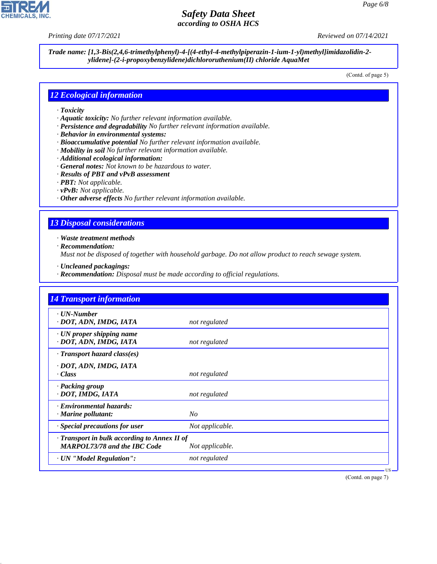*Printing date 07/17/2021 Reviewed on 07/14/2021*

**CHEMICALS, INC** 

*Trade name: [1,3-Bis(2,4,6-trimethylphenyl)-4-[(4-ethyl-4-methylpiperazin-1-ium-1-yl)methyl]imidazolidin-2 ylidene]-(2-i-propoxybenzylidene)dichlororuthenium(II) chloride AquaMet*

(Contd. of page 5)

### *12 Ecological information*

- *· Toxicity*
- *· Aquatic toxicity: No further relevant information available.*
- *· Persistence and degradability No further relevant information available.*
- *· Behavior in environmental systems:*
- *· Bioaccumulative potential No further relevant information available.*
- *· Mobility in soil No further relevant information available.*
- *· Additional ecological information:*
- *· General notes: Not known to be hazardous to water.*
- *· Results of PBT and vPvB assessment*
- *· PBT: Not applicable.*
- *· vPvB: Not applicable.*
- *· Other adverse effects No further relevant information available.*

### *13 Disposal considerations*

*· Waste treatment methods*

*· Recommendation:*

44.1.1

*Must not be disposed of together with household garbage. Do not allow product to reach sewage system.*

- *· Uncleaned packagings:*
- *· Recommendation: Disposal must be made according to official regulations.*

| <b>14 Transport information</b>                                                     |                 |
|-------------------------------------------------------------------------------------|-----------------|
| $\cdot$ UN-Number<br>· DOT, ADN, IMDG, IATA                                         | not regulated   |
| · UN proper shipping name<br>· DOT, ADN, IMDG, IATA                                 | not regulated   |
| $\cdot$ Transport hazard class(es)                                                  |                 |
| · DOT, ADN, IMDG, IATA<br>· Class                                                   | not regulated   |
| · Packing group<br>· DOT, IMDG, IATA                                                | not regulated   |
| · Environmental hazards:<br>$\cdot$ Marine pollutant:                               | No              |
| · Special precautions for user                                                      | Not applicable. |
| · Transport in bulk according to Annex II of<br><b>MARPOL73/78 and the IBC Code</b> | Not applicable. |
| · UN "Model Regulation":                                                            | not regulated   |

(Contd. on page 7)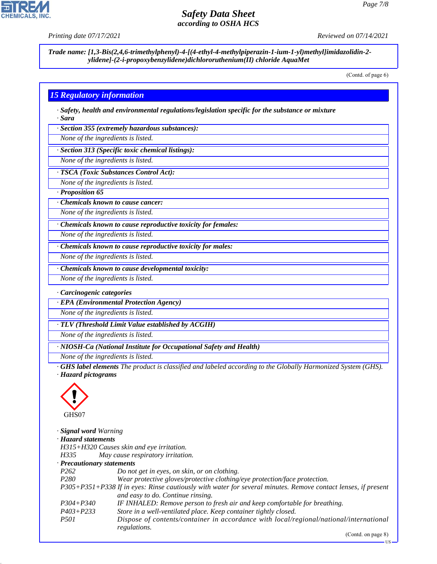

**CHEMICALS, INC** 

*Trade name: [1,3-Bis(2,4,6-trimethylphenyl)-4-[(4-ethyl-4-methylpiperazin-1-ium-1-yl)methyl]imidazolidin-2 ylidene]-(2-i-propoxybenzylidene)dichlororuthenium(II) chloride AquaMet*

(Contd. of page 6)

### *15 Regulatory information*

*· Safety, health and environmental regulations/legislation specific for the substance or mixture · Sara*

*· Section 355 (extremely hazardous substances):*

*None of the ingredients is listed.*

*· Section 313 (Specific toxic chemical listings):*

*None of the ingredients is listed.*

#### *· TSCA (Toxic Substances Control Act):*

*None of the ingredients is listed.*

*· Proposition 65*

*· Chemicals known to cause cancer:*

*None of the ingredients is listed.*

*· Chemicals known to cause reproductive toxicity for females:*

*None of the ingredients is listed.*

*· Chemicals known to cause reproductive toxicity for males:*

*None of the ingredients is listed.*

*· Chemicals known to cause developmental toxicity:*

*None of the ingredients is listed.*

*· Carcinogenic categories*

*· EPA (Environmental Protection Agency)*

*None of the ingredients is listed.*

*· TLV (Threshold Limit Value established by ACGIH)*

*None of the ingredients is listed.*

*· NIOSH-Ca (National Institute for Occupational Safety and Health)*

*None of the ingredients is listed.*

*· GHS label elements The product is classified and labeled according to the Globally Harmonized System (GHS). · Hazard pictograms*



44.1.1

| <b>Signal word Warning</b> |                                                                                                               |
|----------------------------|---------------------------------------------------------------------------------------------------------------|
| · Hazard statements        |                                                                                                               |
|                            | H315+H320 Causes skin and eye irritation.                                                                     |
| H335                       | May cause respiratory irritation.                                                                             |
| · Precautionary statements |                                                                                                               |
| P <sub>262</sub>           | Do not get in eyes, on skin, or on clothing.                                                                  |
| P <sub>280</sub>           | Wear protective gloves/protective clothing/eye protection/face protection.                                    |
|                            | P305+P351+P338 If in eyes: Rinse cautiously with water for several minutes. Remove contact lenses, if present |
|                            | and easy to do. Continue rinsing.                                                                             |
| $P304 + P340$              | IF INHALED: Remove person to fresh air and keep comfortable for breathing.                                    |
| $P403 + P233$              | Store in a well-ventilated place. Keep container tightly closed.                                              |
| <i>P501</i>                | Dispose of contents/container in accordance with local/regional/national/international                        |
|                            | regulations.                                                                                                  |

(Contd. on page 8)